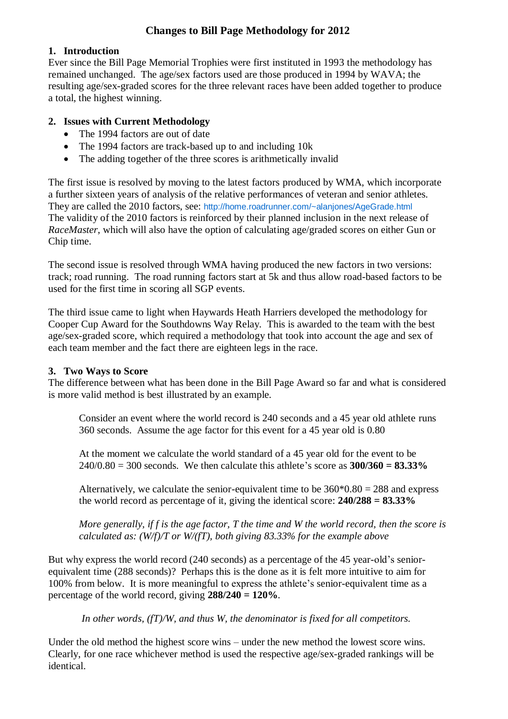# **Changes to Bill Page Methodology for 2012**

### **1. Introduction**

Ever since the Bill Page Memorial Trophies were first instituted in 1993 the methodology has remained unchanged. The age/sex factors used are those produced in 1994 by WAVA; the resulting age/sex-graded scores for the three relevant races have been added together to produce a total, the highest winning.

## **2. Issues with Current Methodology**

- The 1994 factors are out of date
- The 1994 factors are track-based up to and including 10k
- The adding together of the three scores is arithmetically invalid

The first issue is resolved by moving to the latest factors produced by WMA, which incorporate a further sixteen years of analysis of the relative performances of veteran and senior athletes. They are called the 2010 factors, see: <http://home.roadrunner.com/~alanjones/AgeGrade.html> The validity of the 2010 factors is reinforced by their planned inclusion in the next release of *RaceMaster*, which will also have the option of calculating age/graded scores on either Gun or Chip time.

The second issue is resolved through WMA having produced the new factors in two versions: track; road running. The road running factors start at 5k and thus allow road-based factors to be used for the first time in scoring all SGP events.

The third issue came to light when Haywards Heath Harriers developed the methodology for Cooper Cup Award for the Southdowns Way Relay. This is awarded to the team with the best age/sex-graded score, which required a methodology that took into account the age and sex of each team member and the fact there are eighteen legs in the race.

#### **3. Two Ways to Score**

The difference between what has been done in the Bill Page Award so far and what is considered is more valid method is best illustrated by an example.

Consider an event where the world record is 240 seconds and a 45 year old athlete runs 360 seconds. Assume the age factor for this event for a 45 year old is 0.80

At the moment we calculate the world standard of a 45 year old for the event to be 240/0.80 = 300 seconds. We then calculate this athlete's score as **300/360 = 83.33%**

Alternatively, we calculate the senior-equivalent time to be  $360*0.80 = 288$  and express the world record as percentage of it, giving the identical score: **240/288 = 83.33%**

*More generally, if f is the age factor, T the time and W the world record, then the score is calculated as: (W/f)/T or W/(fT), both giving 83.33% for the example above*

But why express the world record (240 seconds) as a percentage of the 45 year-old's seniorequivalent time (288 seconds)? Perhaps this is the done as it is felt more intuitive to aim for 100% from below. It is more meaningful to express the athlete's senior-equivalent time as a percentage of the world record, giving **288/240 = 120%**.

*In other words, (fT)/W, and thus W, the denominator is fixed for all competitors.*

Under the old method the highest score wins – under the new method the lowest score wins. Clearly, for one race whichever method is used the respective age/sex-graded rankings will be identical.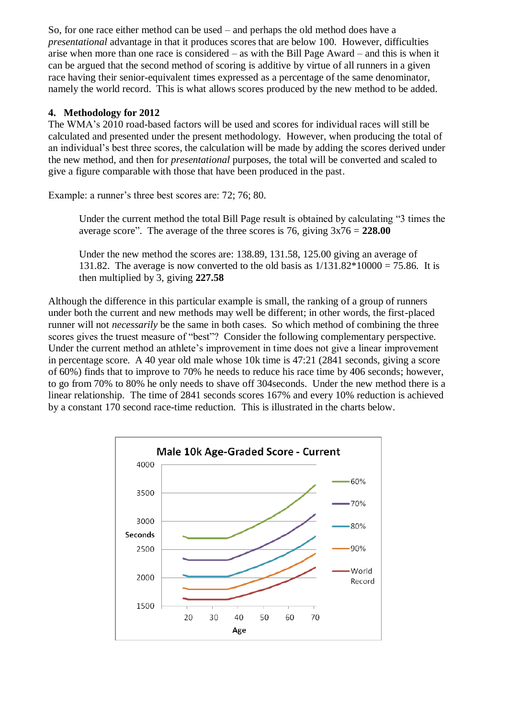So, for one race either method can be used – and perhaps the old method does have a *presentational* advantage in that it produces scores that are below 100. However, difficulties arise when more than one race is considered – as with the Bill Page Award – and this is when it can be argued that the second method of scoring is additive by virtue of all runners in a given race having their senior-equivalent times expressed as a percentage of the same denominator, namely the world record. This is what allows scores produced by the new method to be added.

#### **4. Methodology for 2012**

The WMA's 2010 road-based factors will be used and scores for individual races will still be calculated and presented under the present methodology. However, when producing the total of an individual's best three scores, the calculation will be made by adding the scores derived under the new method, and then for *presentational* purposes, the total will be converted and scaled to give a figure comparable with those that have been produced in the past.

Example: a runner's three best scores are: 72; 76; 80.

Under the current method the total Bill Page result is obtained by calculating "3 times the average score". The average of the three scores is 76, giving 3x76 = **228.00**

Under the new method the scores are: 138.89, 131.58, 125.00 giving an average of 131.82. The average is now converted to the old basis as  $1/131.82*10000 = 75.86$ . It is then multiplied by 3, giving **227.58**

Although the difference in this particular example is small, the ranking of a group of runners under both the current and new methods may well be different; in other words, the first-placed runner will not *necessarily* be the same in both cases. So which method of combining the three scores gives the truest measure of "best"? Consider the following complementary perspective. Under the current method an athlete's improvement in time does not give a linear improvement in percentage score. A 40 year old male whose 10k time is 47:21 (2841 seconds, giving a score of 60%) finds that to improve to 70% he needs to reduce his race time by 406 seconds; however, to go from 70% to 80% he only needs to shave off 304seconds. Under the new method there is a linear relationship. The time of 2841 seconds scores 167% and every 10% reduction is achieved by a constant 170 second race-time reduction. This is illustrated in the charts below.

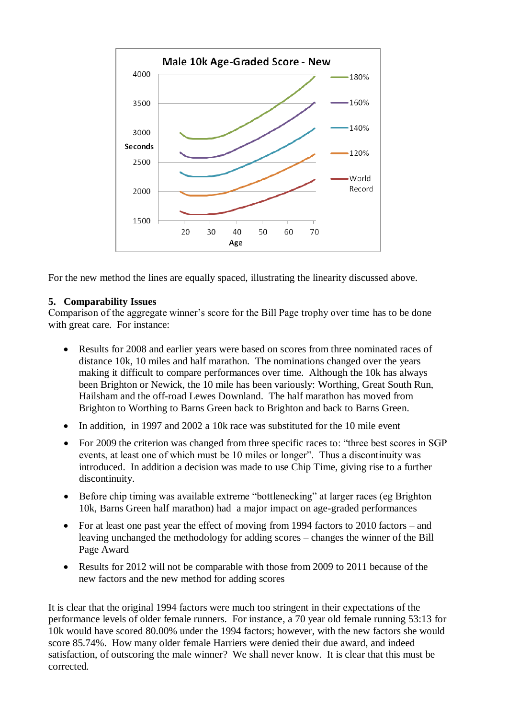

For the new method the lines are equally spaced, illustrating the linearity discussed above.

#### **5. Comparability Issues**

Comparison of the aggregate winner's score for the Bill Page trophy over time has to be done with great care. For instance:

- Results for 2008 and earlier years were based on scores from three nominated races of distance 10k, 10 miles and half marathon. The nominations changed over the years making it difficult to compare performances over time. Although the 10k has always been Brighton or Newick, the 10 mile has been variously: Worthing, Great South Run, Hailsham and the off-road Lewes Downland. The half marathon has moved from Brighton to Worthing to Barns Green back to Brighton and back to Barns Green.
- In addition, in 1997 and 2002 a 10k race was substituted for the 10 mile event
- For 2009 the criterion was changed from three specific races to: "three best scores in SGP events, at least one of which must be 10 miles or longer". Thus a discontinuity was introduced. In addition a decision was made to use Chip Time, giving rise to a further discontinuity.
- Before chip timing was available extreme "bottlenecking" at larger races (eg Brighton 10k, Barns Green half marathon) had a major impact on age-graded performances
- For at least one past year the effect of moving from 1994 factors to 2010 factors and leaving unchanged the methodology for adding scores – changes the winner of the Bill Page Award
- Results for 2012 will not be comparable with those from 2009 to 2011 because of the new factors and the new method for adding scores

It is clear that the original 1994 factors were much too stringent in their expectations of the performance levels of older female runners. For instance, a 70 year old female running 53:13 for 10k would have scored 80.00% under the 1994 factors; however, with the new factors she would score 85.74%. How many older female Harriers were denied their due award, and indeed satisfaction, of outscoring the male winner? We shall never know. It is clear that this must be corrected.